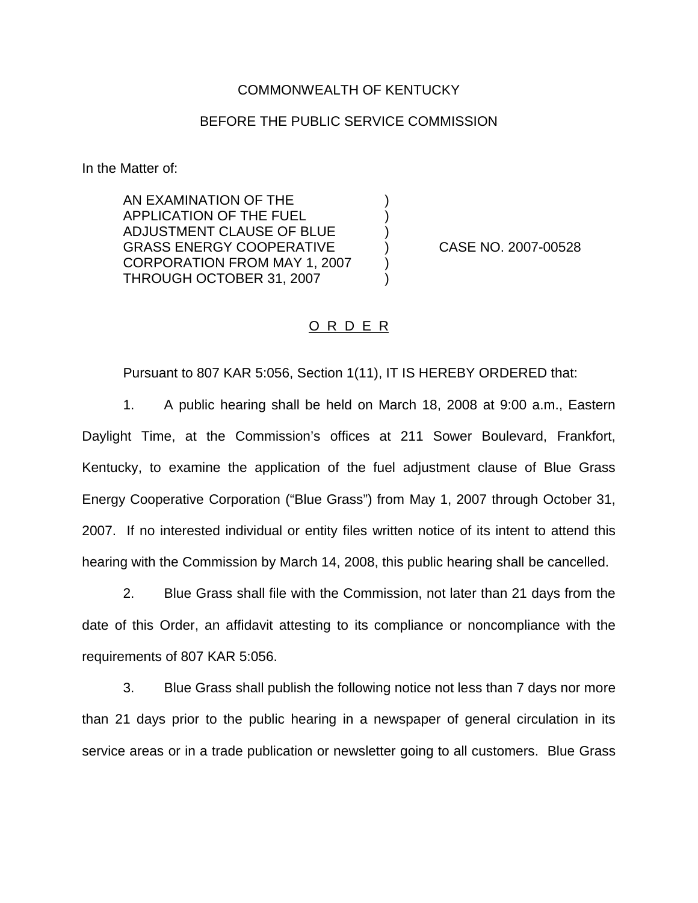## COMMONWEALTH OF KENTUCKY

## BEFORE THE PUBLIC SERVICE COMMISSION

) ) )

) )

In the Matter of:

AN EXAMINATION OF THE APPLICATION OF THE FUEL ADJUSTMENT CLAUSE OF BLUE GRASS ENERGY COOPERATIVE CORPORATION FROM MAY 1, 2007 THROUGH OCTOBER 31, 2007

) CASE NO. 2007-00528

## O R D E R

Pursuant to 807 KAR 5:056, Section 1(11), IT IS HEREBY ORDERED that:

1. A public hearing shall be held on March 18, 2008 at 9:00 a.m., Eastern Daylight Time, at the Commission's offices at 211 Sower Boulevard, Frankfort, Kentucky, to examine the application of the fuel adjustment clause of Blue Grass Energy Cooperative Corporation ("Blue Grass") from May 1, 2007 through October 31, 2007. If no interested individual or entity files written notice of its intent to attend this hearing with the Commission by March 14, 2008, this public hearing shall be cancelled.

2. Blue Grass shall file with the Commission, not later than 21 days from the date of this Order, an affidavit attesting to its compliance or noncompliance with the requirements of 807 KAR 5:056.

3. Blue Grass shall publish the following notice not less than 7 days nor more than 21 days prior to the public hearing in a newspaper of general circulation in its service areas or in a trade publication or newsletter going to all customers. Blue Grass